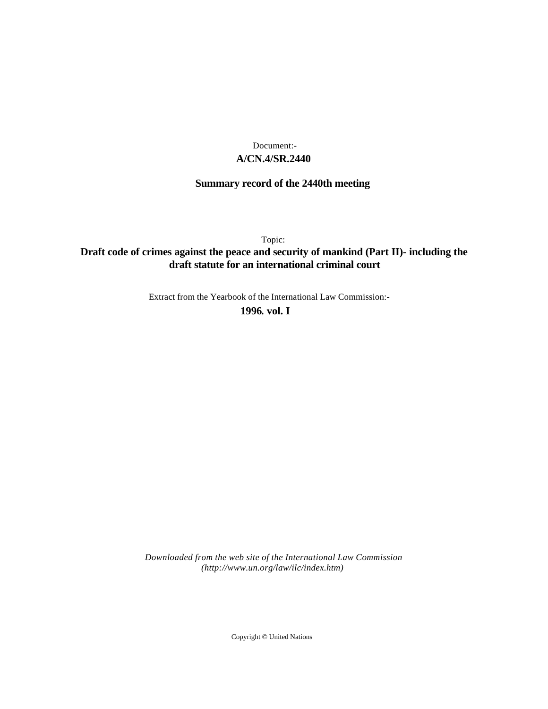## **A/CN.4/SR.2440** Document:-

# **Summary record of the 2440th meeting**

Topic:

## **Draft code of crimes against the peace and security of mankind (Part II)- including the draft statute for an international criminal court**

Extract from the Yearbook of the International Law Commission:-

**1996** , **vol. I**

*Downloaded from the web site of the International Law Commission (http://www.un.org/law/ilc/index.htm)*

Copyright © United Nations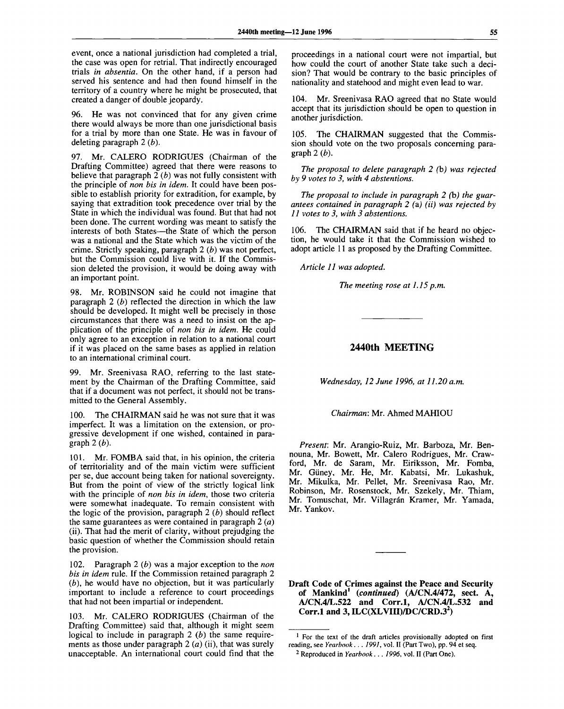event, once a national jurisdiction had completed a trial, the case was open for retrial. That indirectly encouraged trials *in absentia.* On the other hand, if a person had served his sentence and had then found himself in the territory of a country where he might be prosecuted, that created a danger of double jeopardy.

96. He was not convinced that for any given crime there would always be more than one jurisdictional basis for a trial by more than one State. He was in favour of deleting paragraph 2 *(b).*

97. Mr. CALERO RODRIGUES (Chairman of the Drafting Committee) agreed that there were reasons to believe that paragraph 2 *(b)* was not fully consistent with the principle of *non bis in idem.* It could have been possible to establish priority for extradition, for example, by saying that extradition took precedence over trial by the State in which the individual was found. But that had not been done. The current wording was meant to satisfy the interests of both States—the State of which the person was a national and the State which was the victim of the crime. Strictly speaking, paragraph 2 *(b)* was not perfect, but the Commission could live with it. If the Commission deleted the provision, it would be doing away with an important point.

98. Mr. ROBINSON said he could not imagine that paragraph 2 *(b)* reflected the direction in which the law should be developed. It might well be precisely in those circumstances that there was a need to insist on the application of the principle of *non bis in idem.* He could only agree to an exception in relation to a national court if it was placed on the same bases as applied in relation to an international criminal court.

99. Mr. Sreenivasa RAO, referring to the last statement by the Chairman of the Drafting Committee, said that if a document was not perfect, it should not be transmitted to the General Assembly.

The CHAIRMAN said he was not sure that it was imperfect. It was a limitation on the extension, or progressive development if one wished, contained in paragraph 2 *(b).*

101. Mr. FOMBA said that, in his opinion, the criteria of territoriality and of the main victim were sufficient per se, due account being taken for national sovereignty. But from the point of view of the strictly logical link with the principle of *non bis in idem,* those two criteria were somewhat inadequate. To remain consistent with the logic of the provision, paragraph 2 *(b)* should reflect the same guarantees as were contained in paragraph 2 *(a)* (ii). That had the merit of clarity, without prejudging the basic question of whether the Commission should retain the provision.

102. Paragraph 2 *(b)* was a major exception to the *non bis in idem* rule. If the Commission retained paragraph 2 *(b),* he would have no objection, but it was particularly important to include a reference to court proceedings that had not been impartial or independent.

103. Mr. CALERO RODRIGUES (Chairman of the Drafting Committee) said that, although it might seem logical to include in paragraph 2 *(b)* the same requirements as those under paragraph 2 *(a)* (ii), that was surely unacceptable. An international court could find that the proceedings in a national court were not impartial, but how could the court of another State take such a decision? That would be contrary to the basic principles of nationality and statehood and might even lead to war.

104. Mr. Sreenivasa RAO agreed that no State would accept that its jurisdiction should be open to question in another jurisdiction.

105. The CHAIRMAN suggested that the Commission should vote on the two proposals concerning paragraph 2 *(b).*

*The proposal to delete paragraph 2 (b) was rejected by 9 votes to 3, with 4 abstentions.*

*The proposal to include in paragraph 2 (b) the guarantees contained in paragraph 2 (a) (ii) was rejected by 11 votes to 3, with 3 abstentions.*

106. The CHAIRMAN said that if he heard no objection, he would take it that the Commission wished to adopt article 11 as proposed by the Drafting Committee.

*Article 11 was adopted.*

*The meeting rose at 1.15 p.m.*

## **2440th MEETING**

*Wednesday, 12 June 1996, at 11.20 a.m.*

*Chairman:* Mr. Ahmed MAHIOU

*Present:* Mr. Arangio-Ruiz, Mr. Barboza, Mr. Bennouna, Mr. Bowett, Mr. Calero Rodrigues, Mr. Crawford, Mr. de Saram, Mr. Eiriksson, Mr. Fomba, Mr. Giiney, Mr. He, Mr. Kabatsi, Mr. Lukashuk, Mr. Mikulka, Mr. Pellet, Mr. Sreenivasa Rao, Mr. Robinson, Mr. Rosenstock, Mr. Szekely, Mr. Thiam, Mr. Tomuschat, Mr. Villagrán Kramer, Mr. Yamada, Mr. Yankov.

**Draft Code of Crimes against the Peace and Security of Mankind<sup>1</sup>**  *{continued)* **(A/CN.4/472, sect. A, A/CN.4/L.522 and Corr.l, A/CN.4/L.532 and Corr.l and 3, ILC(XLVIII)/DC/CRD.3<sup>2</sup> )**

<sup>&</sup>lt;sup>1</sup> For the text of the draft articles provisionally adopted on first reading, see *Yearbook . . . 1991,* vol. II (Part Two), pp. 94 et seq.

<sup>2</sup> Reproduced in *Yearbook . . . 1996,* vol. II (Part One).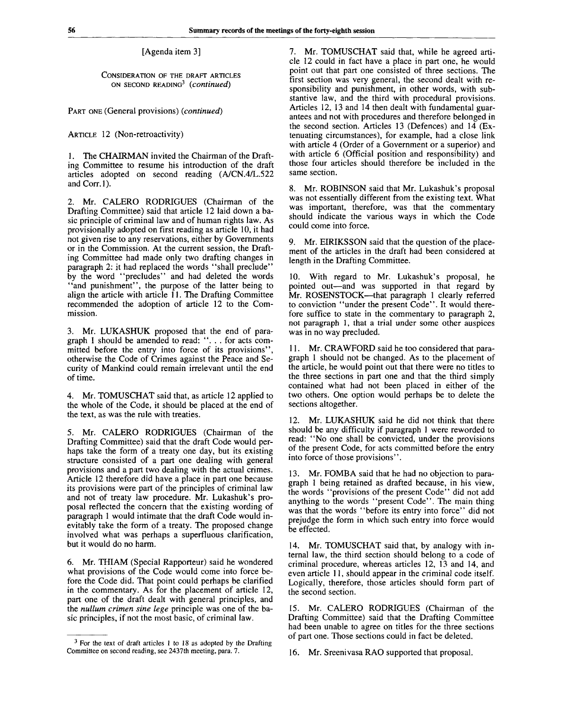[Agenda item 3]

CONSIDERATION OF THE DRAFT ARTICLES ON SECOND READING<sup>3</sup>  *(continued)*

PART ONE (General provisions) *(continued)*

ARTICLE 12 (Non-retroactivity)

1. The CHAIRMAN invited the Chairman of the Drafting Committee to resume his introduction of the draft articles adopted on second reading (A/CN.4/L.522 and Corr.l).

2. Mr. CALERO RODRIGUES (Chairman of the Drafting Committee) said that article 12 laid down a basic principle of criminal law and of human rights law. As provisionally adopted on first reading as article 10, it had not given rise to any reservations, either by Governments or in the Commission. At the current session, the Drafting Committee had made only two drafting changes in paragraph 2: it had replaced the words "shall preclude" by the word "precludes" and had deleted the words "and punishment", the purpose of the latter being to align the article with article 11. The Drafting Committee recommended the adoption of article 12 to the Commission.

3. Mr. LUKASHUK proposed that the end of paragraph 1 should be amended to read: "... for acts committed before the entry into force of its provisions" otherwise the Code of Crimes against the Peace and Security of Mankind could remain irrelevant until the end of time.

4. Mr. TOMUSCHAT said that, as article 12 applied to the whole of the Code, it should be placed at the end of the text, as was the rule with treaties.

5. Mr. CALERO RODRIGUES (Chairman of the Drafting Committee) said that the draft Code would perhaps take the form of a treaty one day, but its existing structure consisted of a part one dealing with general provisions and a part two dealing with the actual crimes. Article 12 therefore did have a place in part one because its provisions were part of the principles of criminal law and not of treaty law procedure. Mr. Lukashuk's proposal reflected the concern that the existing wording of paragraph 1 would intimate that the draft Code would inevitably take the form of a treaty. The proposed change involved what was perhaps a superfluous clarification, but it would do no harm.

6. Mr. THIAM (Special Rapporteur) said he wondered what provisions of the Code would come into force before the Code did. That point could perhaps be clarified in the commentary. As for the placement of article 12, part one of the draft dealt with general principles, and the *nullum crimen sine lege* principle was one of the basic principles, if not the most basic, of criminal law.

7. Mr. TOMUSCHAT said that, while he agreed article 12 could in fact have a place in part one, he would point out that part one consisted of three sections. The first section was very general, the second dealt with responsibility and punishment, in other words, with substantive law, and the third with procedural provisions. Articles 12, 13 and 14 then dealt with fundamental guarantees and not with procedures and therefore belonged in the second section. Articles 13 (Defences) and  $14$  (Extenuating circumstances), for example, had a close link with article 4 (Order of a Government or a superior) and with article 6 (Official position and responsibility) and those four articles should therefore be included in the same section.

8. Mr. ROBINSON said that Mr. Lukashuk's proposal was not essentially different from the existing text. What was important, therefore, was that the commentary should indicate the various ways in which the Code could come into force.

9. Mr. EIRIKSSON said that the question of the placement of the articles in the draft had been considered at length in the Drafting Committee.

10. With regard to Mr. Lukashuk's proposal, he pointed out—and was supported in that regard by Mr. ROSENSTOCK—that paragraph 1 clearly referred to conviction "under the present Code". It would therefore suffice to state in the commentary to paragraph 2, not paragraph 1, that a trial under some other auspices was in no way precluded.

11. Mr. CRAWFORD said he too considered that paragraph 1 should not be changed. As to the placement of the article, he would point out that there were no titles to the three sections in part one and that the third simply contained what had not been placed in either of the two others. One option would perhaps be to delete the sections altogether.

12. Mr. LUKASHUK said he did not think that there should be any difficulty if paragraph 1 were reworded to read: "No one shall be convicted, under the provisions of the present Code, for acts committed before the entry into force of those provisions".

13. Mr. FOMBA said that he had no objection to paragraph 1 being retained as drafted because, in his view, the words "provisions of the present Code" did not add anything to the words "present Code". The main thing was that the words "before its entry into force" did not prejudge the form in which such entry into force would be effected.

14. Mr. TOMUSCHAT said that, by analogy with internal law, the third section should belong to a code of criminal procedure, whereas articles 12, 13 and 14, and even article 11, should appear in the criminal code itself. Logically, therefore, those articles should form part of the second section.

15. Mr. CALERO RODRIGUES (Chairman of the Drafting Committee) said that the Drafting Committee had been unable to agree on titles for the three sections of part one. Those sections could in fact be deleted.

16. Mr. Sreenivasa RAO supported that proposal.

 $3$  For the text of draft articles 1 to 18 as adopted by the Drafting Committee on second reading, see 2437th meeting, para. 7.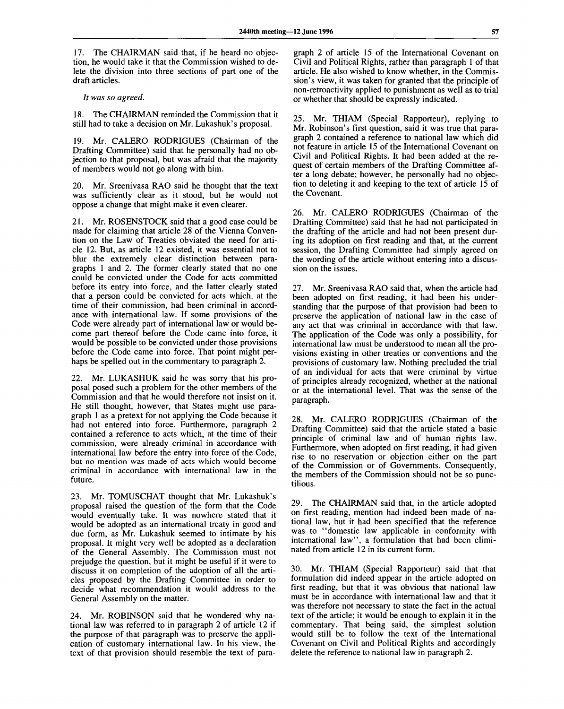17. The CHAIRMAN said that, if he heard no objection, he would take it that the Commission wished to delete the division into three sections of part one of the draft articles.

*It was so agreed.*

18. The CHAIRMAN reminded the Commission that it still had to take a decision on Mr. Lukashuk's proposal.

19. Mr. CALERO RODRIGUES (Chairman of the Drafting Committee) said that he personally had no objection to that proposal, but was afraid that the majority of members would not go along with him.

20. Mr. Sreenivasa RAO said he thought that the text was sufficiently clear as it stood, but he would not oppose a change that might make it even clearer.

21. Mr. ROSENSTOCK said that a good case could be made for claiming that article 28 of the Vienna Convention on the Law of Treaties obviated the need for article 12. But, as article 12 existed, it was essential not to blur the extremely clear distinction between paragraphs 1 and 2. The former clearly stated that no one could be convicted under the Code for acts committed before its entry into force, and the latter clearly stated that a person could be convicted for acts which, at the time of their commission, had been criminal in accordance with international law. If some provisions of the Code were already part of international law or would become part thereof before the Code came into force, it would be possible to be convicted under those provisions before the Code came into force. That point might perhaps be spelled out in the commentary to paragraph 2.

22. Mr. LUKASHUK said he was sorry that his proposal posed such a problem for the other members of the Commission and that he would therefore not insist on it. He still thought, however, that States might use paragraph 1 as a pretext for not applying the Code because it had not entered into force. Furthermore, paragraph 2 contained a reference to acts which, at the time of their commission, were already criminal in accordance with international law before the entry into force of the Code, but no mention was made of acts which would become criminal in accordance with international law in the future.

23. Mr. TOMUSCHAT thought that Mr. Lukashuk's proposal raised the question of the form that the Code would eventually take. It was nowhere stated that it would be adopted as an international treaty in good and due form, as Mr. Lukashuk seemed to intimate by his proposal. It might very well be adopted as a declaration of the General Assembly. The Commission must not prejudge the question, but it might be useful if it were to discuss it on completion of the adoption of all the articles proposed by the Drafting Committee in order to decide what recommendation it would address to the General Assembly on the matter.

24. Mr. ROBINSON said that he wondered why national law was referred to in paragraph 2 of article 12 if the purpose of that paragraph was to preserve the application of customary international law. In his view, the text of that provision should resemble the text of paragraph 2 of article 15 of the International Covenant on Civil and Political Rights, rather than paragraph 1 of that article. He also wished to know whether, in the Commission's view, it was taken for granted that the principle of non-retroactivity applied to punishment as well as to trial or whether that should be expressly indicated.

25. Mr. THIAM (Special Rapporteur), replying to Mr. Robinson's first question, said it was true that paragraph 2 contained a reference to national law which did not feature in article 15 of the International Covenant on Civil and Political Rights. It had been added at the request of certain members of the Drafting Committee after a long debate; however, he personally had no objection to deleting it and keeping to the text of article 15 of the Covenant.

26. Mr. CALERO RODRIGUES (Chairman of the Drafting Committee) said that he had not participated in the drafting of the article and had not been present during its adoption on first reading and that, at the current session, the Drafting Committee had simply agreed on the wording of the article without entering into a discussion on the issues.

27. Mr. Sreenivasa RAO said that, when the article had been adopted on first reading, it had been his understanding that the purpose of that provision had been to preserve the application of national law in the case of any act that was criminal in accordance with that law. The application of the Code was only a possibility, for international law must be understood to mean all the provisions existing in other treaties or conventions and the provisions of customary law. Nothing precluded the trial of an individual for acts that were criminal by virtue of principles already recognized, whether at the national or at the international level. That was the sense of the paragraph.

28. Mr. CALERO RODRIGUES (Chairman of the Drafting Committee) said that the article stated a basic principle of criminal law and of human rights law. Furthermore, when adopted on first reading, it had given rise to no reservation or objection either on the part of the Commission or of Governments. Consequently, the members of the Commission should not be so punctilious.

29. The CHAIRMAN said that, in the article adopted on first reading, mention had indeed been made of national law, but it had been specified that the reference was to "domestic law applicable in conformity with international law", a formulation that had been eliminated from article 12 in its current form.

30. Mr. THIAM (Special Rapporteur) said that that formulation did indeed appear in the article adopted on first reading, but that it was obvious that national law must be in accordance with international law and that it was therefore not necessary to state the fact in the actual text of the article; it would be enough to explain it in the commentary. That being said, the simplest solution would still be to follow the text of the International Covenant on Civil and Political Rights and accordingly delete the reference to national law in paragraph 2.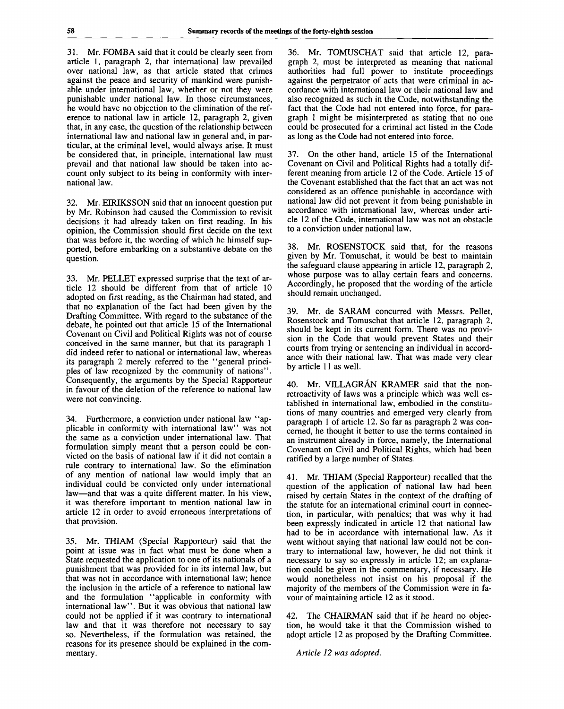31. Mr. FOMBA said that it could be clearly seen from article 1, paragraph 2, that international law prevailed over national law, as that article stated that crimes against the peace and security of mankind were punishable under international law, whether or not they were punishable under national law. In those circumstances, he would have no objection to the elimination of the reference to national law in article 12, paragraph 2, given that, in any case, the question of the relationship between international law and national law in general and, in particular, at the criminal level, would always arise. It must be considered that, in principle, international law must prevail and that national law should be taken into account only subject to its being in conformity with international law.

32. Mr. EIRIKSSON said that an innocent question put by Mr. Robinson had caused the Commission to revisit decisions it had already taken on first reading. In his opinion, the Commission should first decide on the text that was before it, the wording of which he himself supported, before embarking on a substantive debate on the question.

33. Mr. PELLET expressed surprise that the text of article 12 should be different from that of article 10 adopted on first reading, as the Chairman had stated, and that no explanation of the fact had been given by the Drafting Committee. With regard to the substance of the debate, he pointed out that article 15 of the International Covenant on Civil and Political Rights was not of course conceived in the same manner, but that its paragraph 1 did indeed refer to national or international law, whereas its paragraph 2 merely referred to the "general principles of law recognized by the community of nations". Consequently, the arguments by the Special Rapporteur in favour of the deletion of the reference to national law were not convincing.

34. Furthermore, a conviction under national law "applicable in conformity with international law" was not the same as a conviction under international law. That formulation simply meant that a person could be convicted on the basis of national law if it did not contain a rule contrary to international law. So the elimination of any mention of national law would imply that an individual could be convicted only under international law—and that was a quite different matter. In his view, it was therefore important to mention national law in article 12 in order to avoid erroneous interpretations of that provision.

35. Mr. THIAM (Special Rapporteur) said that the point at issue was in fact what must be done when a State requested the application to one of its nationals of a punishment that was provided for in its internal law, but that was not in accordance with international law; hence the inclusion in the article of a reference to national law and the formulation "applicable in conformity with international law". But it was obvious that national law could not be applied if it was contrary to international law and that it was therefore not necessary to say so. Nevertheless, if the formulation was retained, the reasons for its presence should be explained in the commentary.

36. Mr. TOMUSCHAT said that article 12, paragraph 2, must be interpreted as meaning that national authorities had full power to institute proceedings against the perpetrator of acts that were criminal in accordance with international law or their national law and also recognized as such in the Code, notwithstanding the fact that the Code had not entered into force, for paragraph 1 might be misinterpreted as stating that no one could be prosecuted for a criminal act listed in the Code as long as the Code had not entered into force.

37. On the other hand, article 15 of the International Covenant on Civil and Political Rights had a totally different meaning from article 12 of the Code. Article 15 of the Covenant established that the fact that an act was not considered as an offence punishable in accordance with national law did not prevent it from being punishable in accordance with international law, whereas under article 12 of the Code, international law was not an obstacle to a conviction under national law.

38. Mr. ROSENSTOCK said that, for the reasons given by Mr. Tomuschat, it would be best to maintain the safeguard clause appearing in article 12, paragraph 2, whose purpose was to allay certain fears and concerns. Accordingly, he proposed that the wording of the article should remain unchanged.

39. Mr. de SARAM concurred with Messrs. Pellet, Rosenstock and Tomuschat that article 12, paragraph 2, should be kept in its current form. There was no provision in the Code that would prevent States and their courts from trying or sentencing an individual in accordance with their national law. That was made very clear by article 11 as well.

40. Mr. VILLAGRÁN KRAMER said that the nonretroactivity of laws was a principle which was well established in international law, embodied in the constitutions of many countries and emerged very clearly from paragraph 1 of article 12. So far as paragraph 2 was concerned, he thought it better to use the terms contained in an instrument already in force, namely, the International Covenant on Civil and Political Rights, which had been ratified by a large number of States.

41. Mr. THIAM (Special Rapporteur) recalled that the question of the application of national law had been raised by certain States in the context of the drafting of the statute for an international criminal court in connection, in particular, with penalties; that was why it had been expressly indicated in article 12 that national law had to be in accordance with international law. As it went without saying that national law could not be contrary to international law, however, he did not think it necessary to say so expressly in article 12; an explanation could be given in the commentary, if necessary. He would nonetheless not insist on his proposal if the majority of the members of the Commission were in favour of maintaining article 12 as it stood.

42. The CHAIRMAN said that if he heard no objection, he would take it that the Commission wished to adopt article 12 as proposed by the Drafting Committee.

*Article 12 was adopted.*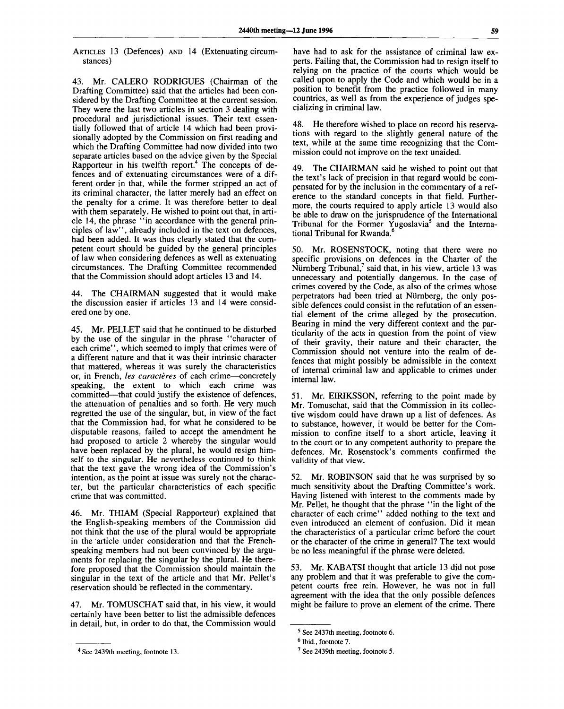ARTICLES 13 (Defences) AND 14 (Extenuating circumstances)

43. Mr. CALERO RODRIGUES (Chairman of the Drafting Committee) said that the articles had been considered by the Drafting Committee at the current session. They were the last two articles in section 3 dealing with procedural and jurisdictional issues. Their text essentially followed that of article 14 which had been provisionally adopted by the Commission on first reading and which the Drafting Committee had now divided into two separate articles based on the advice given by the Special Rapporteur in his twelfth report.<sup>4</sup> The concepts of defences and of extenuating circumstances were of a different order in that, while the former stripped an act of its criminal character, the latter merely had an effect on the penalty for a crime. It was therefore better to deal with them separately. He wished to point out that, in article 14, the phrase "in accordance with the general principles of law", already included in the text on defences, had been added. It was thus clearly stated that the competent court should be guided by the general principles of law when considering defences as well as extenuating circumstances. The Drafting Committee recommended that the Commission should adopt articles 13 and 14.

44. The CHAIRMAN suggested that it would make the discussion easier if articles 13 and 14 were considered one by one.

45. Mr. PELLET said that he continued to be disturbed by the use of the singular in the phrase "character of each crime", which seemed to imply that crimes were of a different nature and that it was their intrinsic character that mattered, whereas it was surely the characteristics or, in French, *les caracteres* of each crime—concretely speaking, the extent to which each crime was committed—that could justify the existence of defences, the attenuation of penalties and so forth. He very much regretted the use of the singular, but, in view of the fact that the Commission had, for what he considered to be disputable reasons, failed to accept the amendment he had proposed to article 2 whereby the singular would have been replaced by the plural, he would resign himself to the singular. He nevertheless continued to think that the text gave the wrong idea of the Commission's intention, as the point at issue was surely not the character, but the particular characteristics of each specific crime that was committed.

46. Mr. THIAM (Special Rapporteur) explained that the English-speaking members of the Commission did not think that the use of the plural would be appropriate in the article under consideration and that the Frenchspeaking members had not been convinced by the arguments for replacing the singular by the plural. He therefore proposed that the Commission should maintain the singular in the text of the article and that Mr. Pellet's reservation should be reflected in the commentary.

47. Mr. TOMUSCHAT said that, in his view, it would certainly have been better to list the admissible defences in detail, but, in order to do that, the Commission would

have had to ask for the assistance of criminal law experts. Failing that, the Commission had to resign itself to relying on the practice of the courts which would be called upon to apply the Code and which would be in a position to benefit from the practice followed in many countries, as well as from the experience of judges specializing in criminal law.

48. He therefore wished to place on record his reservations with regard to the slightly general nature of the text, while at the same time recognizing that the Commission could not improve on the text unaided.

49. The CHAIRMAN said he wished to point out that the text's lack of precision in that regard would be compensated for by the inclusion in the commentary of a reference to the standard concepts in that field. Furthermore, the courts required to apply article 13 would also be able to draw on the jurisprudence of the International Tribunal for the Former Yugoslavia<sup>5</sup> and the International Tribunal for Rwanda.<sup>6</sup>

50. Mr. ROSENSTOCK, noting that there were no specific provisions on defences in the Charter of the Nürnberg Tribunal,<sup>7</sup> said that, in his view, article 13 was unnecessary and potentially dangerous. In the case of crimes covered by the Code, as also of the crimes whose perpetrators had been tried at Niirnberg, the only possible defences could consist in the refutation of an essential element of the crime alleged by the prosecution. Bearing in mind the very different context and the particularity of the acts in question from the point of view of their gravity, their nature and their character, the Commission should not venture into the realm of defences that might possibly be admissible in the context of internal criminal law and applicable to crimes under internal law.

51. Mr. EIRIKSSON, referring to the point made by Mr. Tomuschat, said that the Commission in its collective wisdom could have drawn up a list of defences. As to substance, however, it would be better for the Commission to confine itself to a short article, leaving it to the court or to any competent authority to prepare the defences. Mr. Rosenstock's comments confirmed the validity of that view.

52. Mr. ROBINSON said that he was surprised by so much sensitivity about the Drafting Committee's work. Having listened with interest to the comments made by Mr. Pellet, he thought that the phrase ' 'in the light of the character of each crime" added nothing to the text and even introduced an element of confusion. Did it mean the characteristics of a particular crime before the court or the character of the crime in general? The text would be no less meaningful if the phrase were deleted.

53. Mr. KABATSI thought that article 13 did not pose any problem and that it was preferable to give the competent courts free rein. However, he was not in full agreement with the idea that the only possible defences might be failure to prove an element of the crime. There

<sup>&</sup>lt;sup>4</sup> See 2439th meeting, footnote 13.

<sup>&</sup>lt;sup>5</sup> See 2437th meeting, footnote 6.

<sup>&</sup>lt;sup>6</sup> Ibid., footnote 7.

<sup>&</sup>lt;sup>7</sup> See 2439th meeting, footnote 5.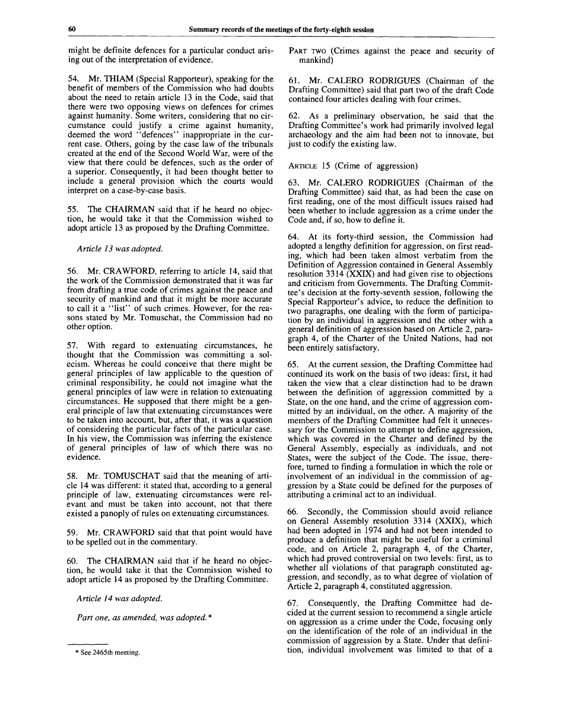might be definite defences for a particular conduct arising out of the interpretation of evidence.

54. Mr. THIAM (Special Rapporteur), speaking for the benefit of members of the Commission who had doubts about the need to retain article 13 in the Code, said that there were two opposing views on defences for crimes against humanity. Some writers, considering that no circumstance could justify a crime against humanity, deemed the word "defences" inappropriate in the current case. Others, going by the case law of the tribunals created at the end of the Second World War, were of the view that there could be defences, such as the order of a superior. Consequently, it had been thought better to include a general provision which the courts would interpret on a case-by-case basis.

55. The CHAIRMAN said that if he heard no objection, he would take it that the Commission wished to adopt article 13 as proposed by the Drafting Committee.

#### *Article 13 was adopted.*

56. Mr. CRAWFORD, referring to article 14, said that the work of the Commission demonstrated that it was far from drafting a true code of crimes against the peace and security of mankind and that it might be more accurate to call it a "list" of such crimes. However, for the reasons stated by Mr. Tomuschat, the Commission had no other option.

57. With regard to extenuating circumstances, he thought that the Commission was committing a solecism. Whereas he could conceive that there might be general principles of law applicable to the question of criminal responsibility, he could not imagine what the general principles of law were in relation to extenuating circumstances. He supposed that there might be a general principle of law that extenuating circumstances were to be taken into account, but, after that, it was a question of considering the particular facts of the particular case. In his view, the Commission was inferring the existence of general principles of law of which there was no evidence.

58. Mr. TOMUSCHAT said that the meaning of article 14 was different: it stated that, according to a general principle of law, extenuating circumstances were relevant and must be taken into account, not that there existed a panoply of rules on extenuating circumstances.

59. Mr. CRAWFORD said that that point would have to be spelled out in the commentary.

60. The CHAIRMAN said that if he heard no objection, he would take it that the Commission wished to adopt article 14 as proposed by the Drafting Committee.

*Article 14 was adopted.*

*Part one, as amended, was adopted.* \*

PART TWO (Crimes against the peace and security of mankind)

61. Mr. CALERO RODRIGUES (Chairman of the Drafting Committee) said that part two of the draft Code contained four articles dealing with four crimes.

62. As a preliminary observation, he said that the Drafting Committee's work had primarily involved legal archaeology and the aim had been not to innovate, but just to codify the existing law.

ARTICLE 15 (Crime of aggression)

63. Mr. CALERO RODRIGUES (Chairman of the Drafting Committee) said that, as had been the case on first reading, one of the most difficult issues raised had been whether to include aggression as a crime under the Code and, if so, how to define it.

64. At its forty-third session, the Commission had adopted a lengthy definition for aggression, on first reading, which had been taken almost verbatim from the Definition of Aggression contained in General Assembly resolution 3314 (XXIX) and had given rise to objections and criticism from Governments. The Drafting Committee's decision at the forty-seventh session, following the Special Rapporteur's advice, to reduce the definition to two paragraphs, one dealing with the form of participation by an individual in aggression and the other with a general definition of aggression based on Article 2, paragraph 4, of the Charter of the United Nations, had not been entirely satisfactory.

65. At the current session, the Drafting Committee had continued its work on the basis of two ideas: first, it had taken the view that a clear distinction had to be drawn between the definition of aggression committed by a State, on the one hand, and the crime of aggression committed by an individual, on the other. A majority of the members of the Drafting Committee had felt it unnecessary for the Commission to attempt to define aggression, which was covered in the Charter and defined by the General Assembly, especially as individuals, and not States, were the subject of the Code. The issue, therefore, turned to finding a formulation in which the role or involvement of an individual in the commission of aggression by a State could be defined for the purposes of attributing a criminal act to an individual.

66. Secondly, the Commission should avoid reliance on General Assembly resolution 3314 (XXIX), which had been adopted in 1974 and had not been intended to produce a definition that might be useful for a criminal code, and on Article 2, paragraph 4, of the Charter, which had proved controversial on two levels: first, as to whether all violations of that paragraph constituted aggression, and secondly, as to what degree of violation of Article 2, paragraph 4, constituted aggression.

67. Consequently, the Drafting Committee had decided at the current session to recommend a single article on aggression as a crime under the Code, focusing only on the identification of the role of an individual in the commission of aggression by a State. Under that definition, individual involvement was limited to that of a

<sup>\*</sup> See 2465th meeting.